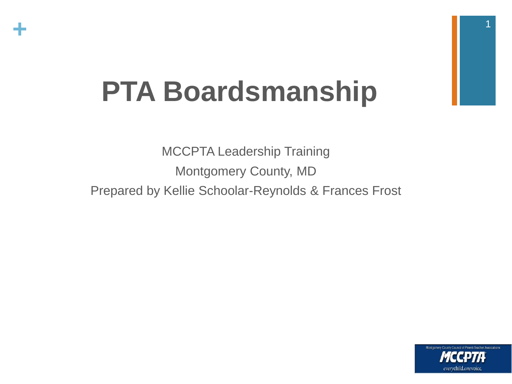

# **PTA Boardsmanship**

MCCPTA Leadership Training Montgomery County, MD Prepared by Kellie Schoolar-Reynolds & Frances Frost

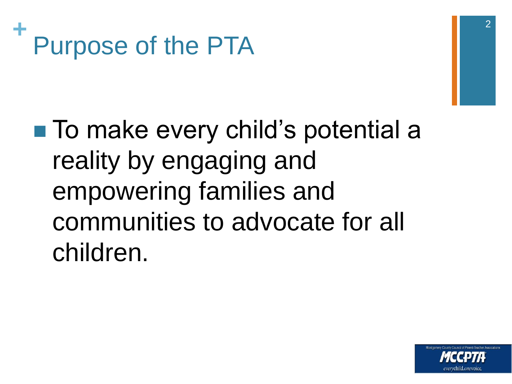

# 2

■ To make every child's potential a reality by engaging and empowering families and communities to advocate for all children.

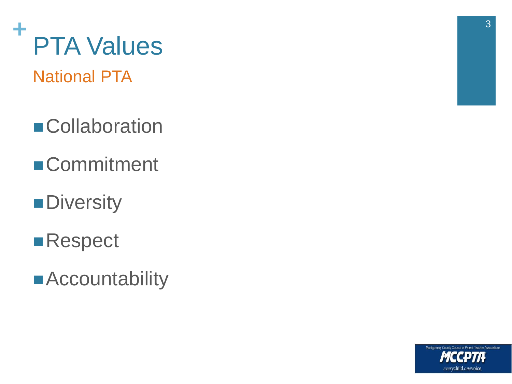

National PTA

- **Collaboration**
- **Commitment**
- **Diversity**
- **Respect**
- Accountability

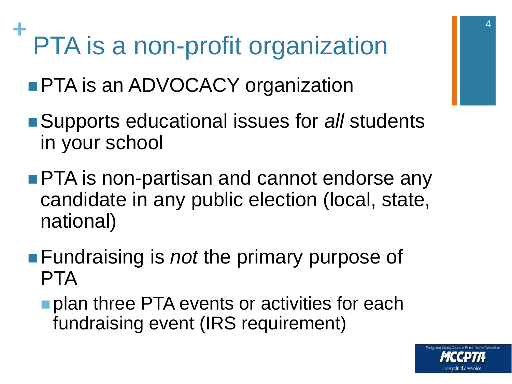#### **+** PTA is a non-profit organization

- **PTA is an ADVOCACY organization**
- ■Supports educational issues for *all* students in your school
- **PTA** is non-partisan and cannot endorse any candidate in any public election (local, state, national)
- **Fundraising is** *not* the primary purpose of PTA
	- **plan three PTA events or activities for each** fundraising event (IRS requirement)

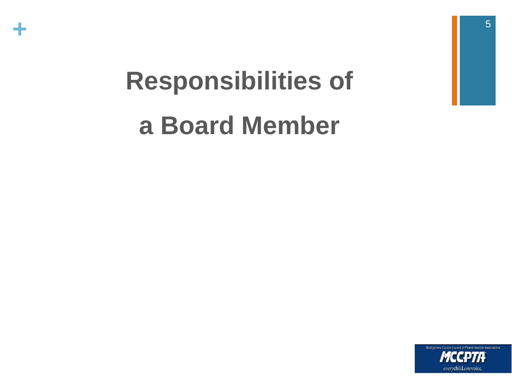

# **Responsibilities of a Board Member**

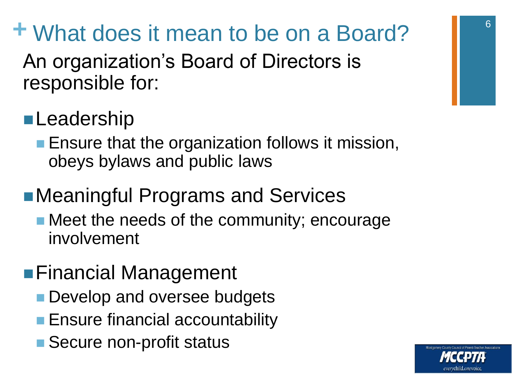## **+** What does it mean to be on a Board?

An organization's Board of Directors is responsible for:

## **Leadership**

**Ensure that the organization follows it mission,** obeys bylaws and public laws

## ■Meaningful Programs and Services

• Meet the needs of the community; encourage involvement

### ■Financial Management

- **Develop and oversee budgets**
- **Ensure financial accountability**
- Secure non-profit status

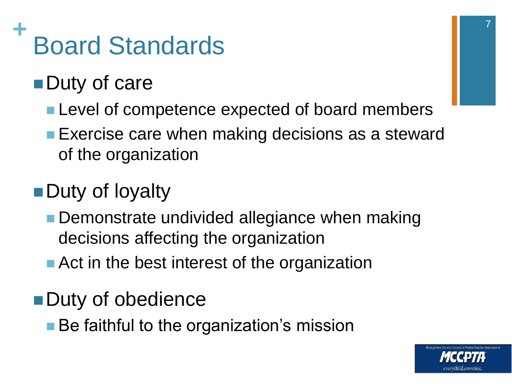#### **+** Board Standards

## **Duty of care**

- **Level of competence expected of board members**
- **Exercise care when making decisions as a steward** of the organization

## ■Duty of loyalty

- **Demonstrate undivided allegiance when making** decisions affecting the organization
- **Act in the best interest of the organization**

## **Duty of obedience**

■ Be faithful to the organization's mission

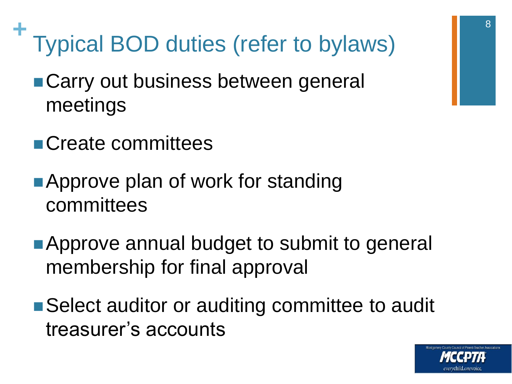- **+** Typical BOD duties (refer to bylaws)
	- Carry out business between general meetings
	- **Create committees**
	- ■Approve plan of work for standing committees
	- **Approve annual budget to submit to general** membership for final approval
	- Select auditor or auditing committee to audit treasurer's accounts

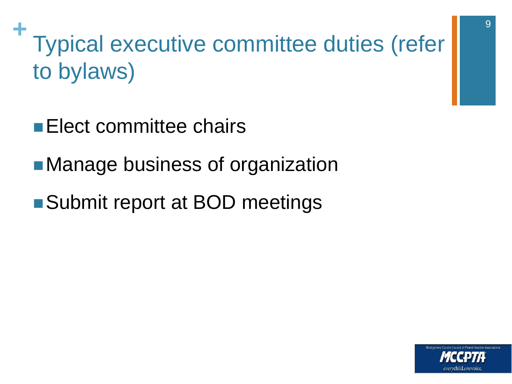**+** Typical executive committee duties (refer to bylaws)

- **Elect committee chairs**
- ■Manage business of organization
- ■Submit report at BOD meetings

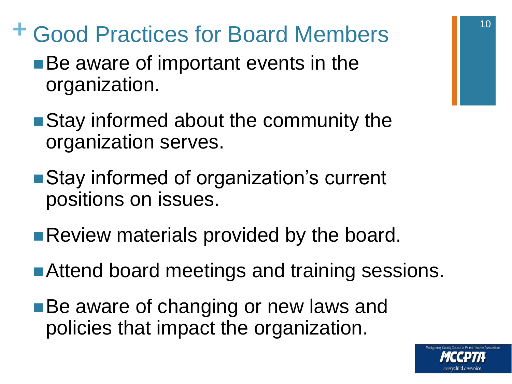- **+** Good Practices for Board Members
	- ■Be aware of important events in the organization.
	- Stay informed about the community the organization serves.
	- Stay informed of organization's current positions on issues.
	- **Review materials provided by the board.**
	- Attend board meetings and training sessions.
	- ■Be aware of changing or new laws and policies that impact the organization.

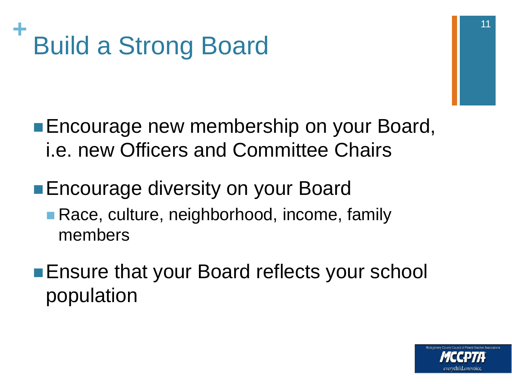

- **Encourage new membership on your Board,** i.e. new Officers and Committee Chairs
- ■Encourage diversity on your Board
	- **Race, culture, neighborhood, income, family** members
- **Ensure that your Board reflects your school** population

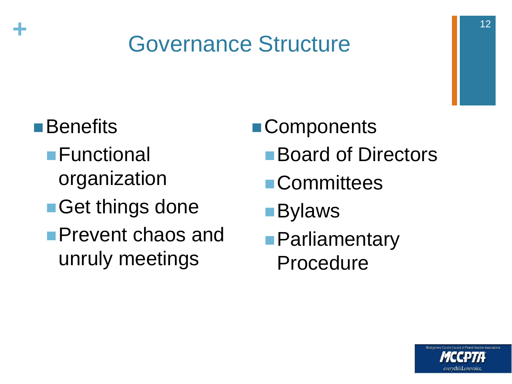## Governance Structure

**■Benefits** 

**+**

- Functional organization
- ■Get things done
- **Prevent chaos and** unruly meetings
- **Components** 
	- Board of Directors
	- **Committees**
	- Bylaws
	- **Parliamentary** Procedure

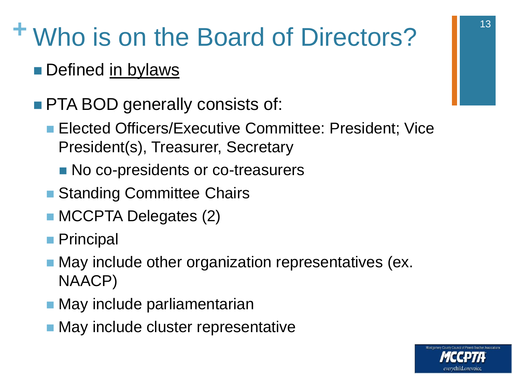# **+** Who is on the Board of Directors?

- Defined in bylaws
- **PTA BOD generally consists of:** 
	- **Elected Officers/Executive Committee: President: Vice** President(s), Treasurer, Secretary
		- No co-presidents or co-treasurers
	- Standing Committee Chairs
	- **MCCPTA Delegates (2)**
	- **Principal**
	- **May include other organization representatives (ex.** NAACP)
	- **May include parliamentarian**
	- **May include cluster representative**

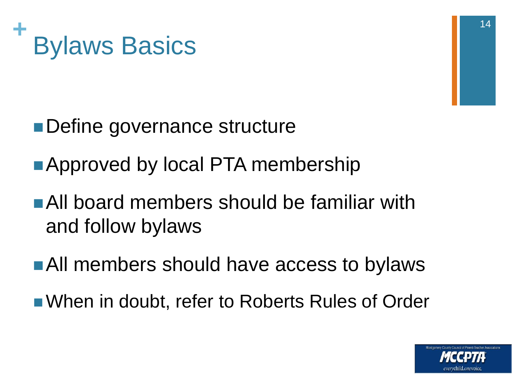

- ■Define governance structure
- **Approved by local PTA membership**
- All board members should be familiar with and follow bylaws
- ■All members should have access to bylaws
- When in doubt, refer to Roberts Rules of Order

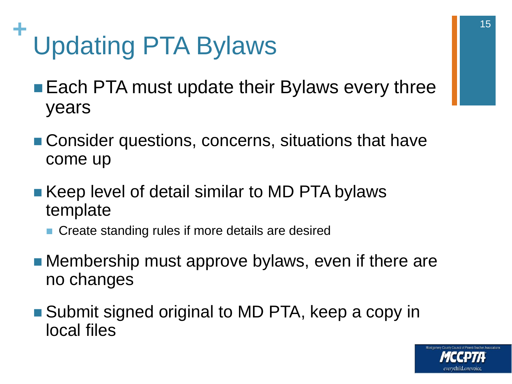#### **+** Updating PTA Bylaws

- Each PTA must update their Bylaws every three years
- Consider questions, concerns, situations that have come up
- Keep level of detail similar to MD PTA bylaws template
	- Create standing rules if more details are desired
- **Membership must approve bylaws, even if there are** no changes
- Submit signed original to MD PTA, keep a copy in local files

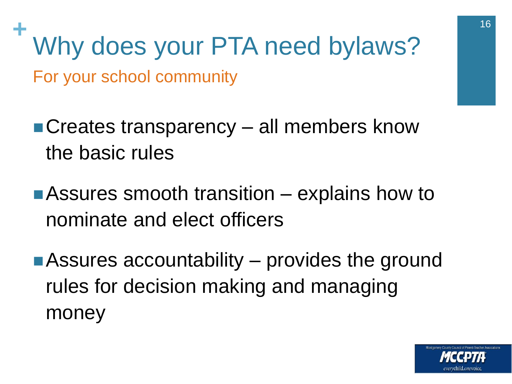Why does your PTA need bylaws? For your school community

- ■Creates transparency all members know the basic rules
- ■Assures smooth transition explains how to nominate and elect officers
- ■Assures accountability provides the ground rules for decision making and managing money



16<br>16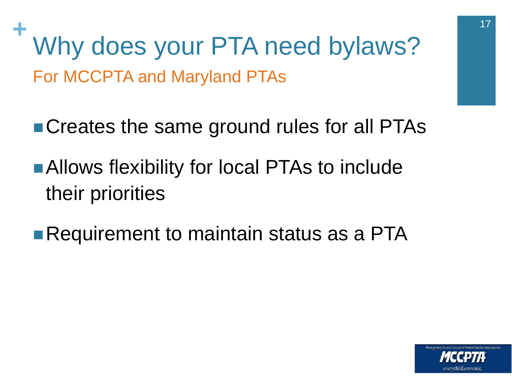Why does your PTA need bylaws? For MCCPTA and Maryland PTAs

■ Creates the same ground rules for all PTAs

- **Allows flexibility for local PTAs to include** their priorities
- **Requirement to maintain status as a PTA**



17<br>17 - Johannes<br>17 - Johannes Johannes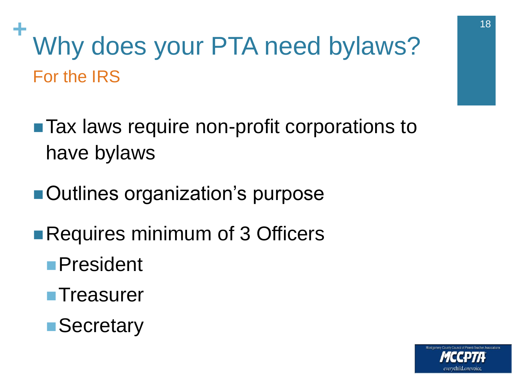# Why does your PTA need bylaws? For the IRS

- Tax laws require non-profit corporations to have bylaws
- ■Outlines organization's purpose
- ■Requires minimum of 3 Officers
	- President
	- **Treasurer**
	- **Secretary**



18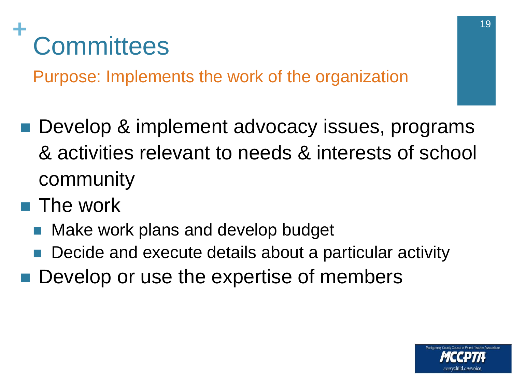#### **+ Committees**

Purpose: Implements the work of the organization

- Develop & implement advocacy issues, programs & activities relevant to needs & interests of school community
- The work
	- Make work plans and develop budget
	- Decide and execute details about a particular activity
- Develop or use the expertise of members

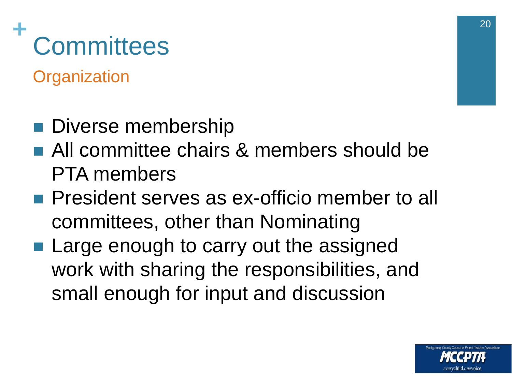#### **+ Committees**

**Organization** 

- **Diverse membership**
- All committee chairs & members should be PTA members
- **President serves as ex-officio member to all** committees, other than Nominating
- Large enough to carry out the assigned work with sharing the responsibilities, and small enough for input and discussion

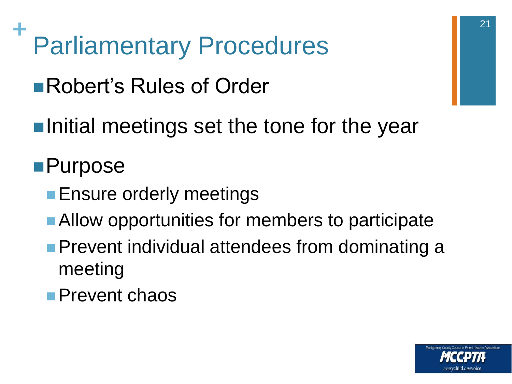**+** Parliamentary Procedures

■Robert's Rules of Order

 $\blacksquare$ Initial meetings set the tone for the year

## ■Purpose

- **Ensure orderly meetings**
- Allow opportunities for members to participate
- **Prevent individual attendees from dominating a** meeting
- **Prevent chaos**

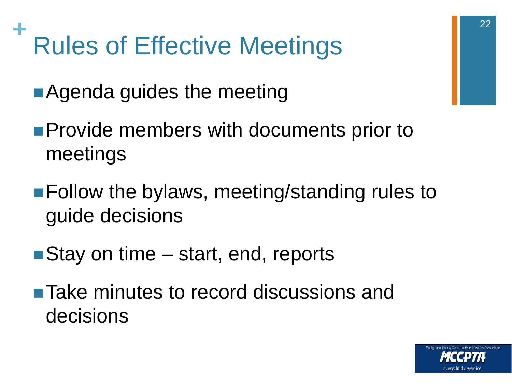#### **+** Rules of Effective Meetings

**Agenda guides the meeting** 

- **Provide members with documents prior to** meetings
- Follow the bylaws, meeting/standing rules to guide decisions
- Stay on time start, end, reports
- **Take minutes to record discussions and** decisions

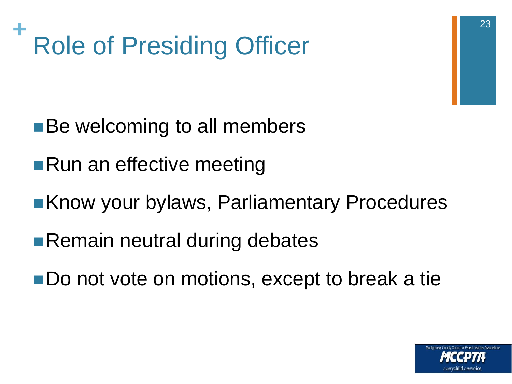

- ■Be welcoming to all members
- **Run an effective meeting**
- **Know your bylaws, Parliamentary Procedures**
- ■Remain neutral during debates
- Do not vote on motions, except to break a tie

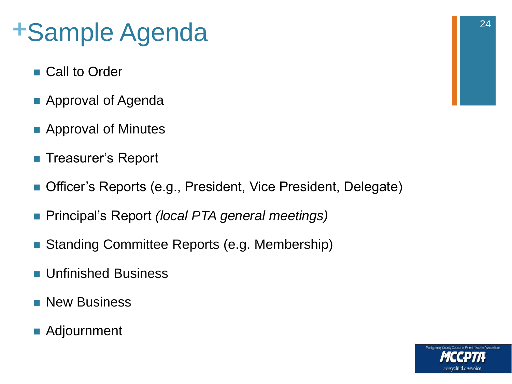# **+**Sample Agenda

- Call to Order
- Approval of Agenda
- **Approval of Minutes**
- Treasurer's Report
- Officer's Reports (e.g., President, Vice President, Delegate)
- Principal's Report *(local PTA general meetings)*
- Standing Committee Reports (e.g. Membership)
- **Unfinished Business**
- **New Business**
- Adjournment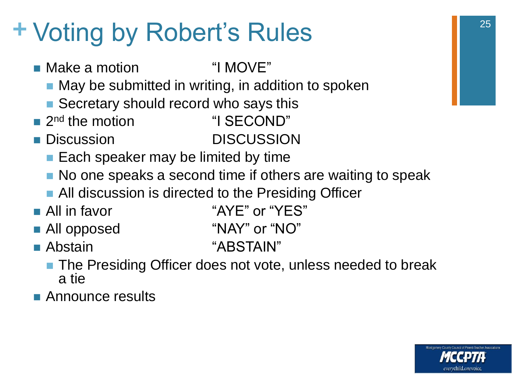# **+** Voting by Robert's Rules

■ Make a motion  $1^{\circ}$  "I MOVE"

- **Nay be submitted in writing, in addition to spoken**
- Secretary should record who says this
- $\blacksquare$  2<sup>nd</sup> the motion
- **Discussion** DISCUSSION
	- $\blacksquare$  Each speaker may be limited by time
	- No one speaks a second time if others are waiting to speak
	- **All discussion is directed to the Presiding Officer**
- 
- **All in favor** "AYE" or "YES"

"I SECOND"

- **All opposed "NAY" or "NO"**
- **Abstain** "ABSTAIN"
- - The Presiding Officer does not vote, unless needed to break a tie
- **Announce results**

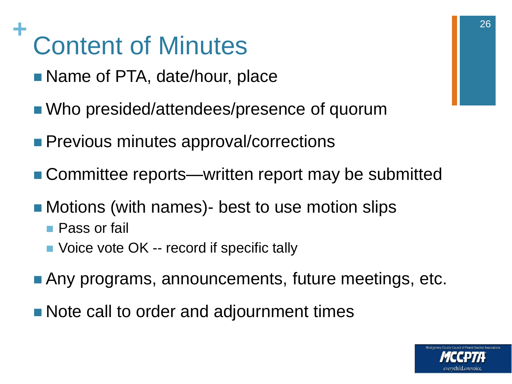#### **+** Content of Minutes

- Name of PTA, date/hour, place
- Who presided/attendees/presence of quorum
- **Previous minutes approval/corrections**
- Committee reports—written report may be submitted
- Motions (with names)- best to use motion slips
	- **Pass or fail**
	- Voice vote OK -- record if specific tally
- **Any programs, announcements, future meetings, etc.**
- Note call to order and adjournment times

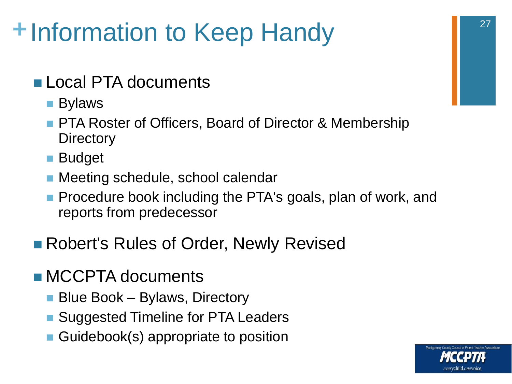# **+**Information to Keep Handy

- **Local PTA documents** 
	- Bylaws
	- **PTA Roster of Officers, Board of Director & Membership Directory**
	- **Budget**
	- Meeting schedule, school calendar
	- **Procedure book including the PTA's goals, plan of work, and** reports from predecessor
- Robert's Rules of Order, Newly Revised
- **MCCPTA documents** 
	- Blue Book Bylaws, Directory
	- Suggested Timeline for PTA Leaders
	- Guidebook(s) appropriate to position

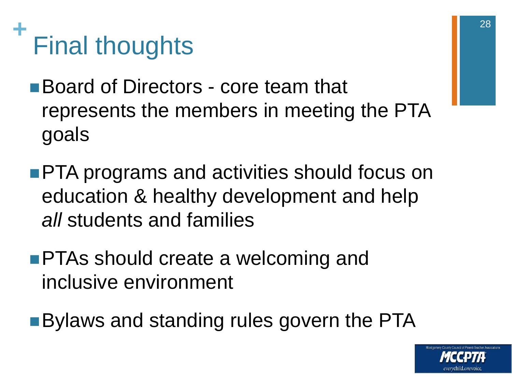

- Board of Directors core team that represents the members in meeting the PTA goals
- **PTA programs and activities should focus on** education & healthy development and help *all* students and families
- **PTAs should create a welcoming and** inclusive environment
- **Bylaws and standing rules govern the PTA**